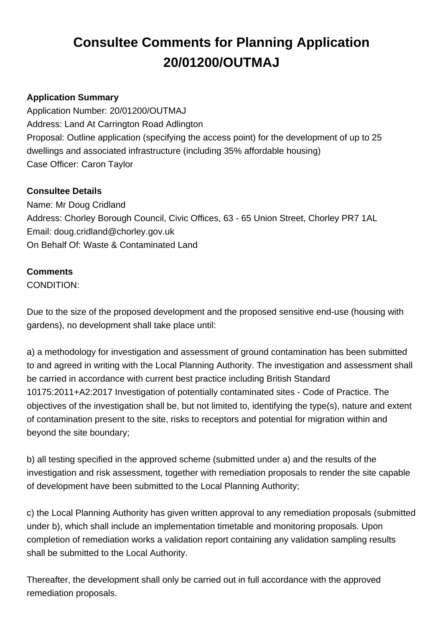# **Consultee Comments for Planning Application 20/01200/OUTMAJ**

## **Application Summary**

Application Number: 20/01200/OUTMAJ Address: Land At Carrington Road Adlington Proposal: Outline application (specifying the access point) for the development of up to 25 dwellings and associated infrastructure (including 35% affordable housing) Case Officer: Caron Taylor

### **Consultee Details**

Name: Mr Doug Cridland Address: Chorley Borough Council, Civic Offices, 63 - 65 Union Street, Chorley PR7 1AL Email: doug.cridland@chorley.gov.uk On Behalf Of: Waste & Contaminated Land

### **Comments**

CONDITION:

Due to the size of the proposed development and the proposed sensitive end-use (housing with gardens), no development shall take place until:

a) a methodology for investigation and assessment of ground contamination has been submitted to and agreed in writing with the Local Planning Authority. The investigation and assessment shall be carried in accordance with current best practice including British Standard 10175:2011+A2:2017 Investigation of potentially contaminated sites - Code of Practice. The objectives of the investigation shall be, but not limited to, identifying the type(s), nature and extent of contamination present to the site, risks to receptors and potential for migration within and beyond the site boundary;

b) all testing specified in the approved scheme (submitted under a) and the results of the investigation and risk assessment, together with remediation proposals to render the site capable of development have been submitted to the Local Planning Authority;

c) the Local Planning Authority has given written approval to any remediation proposals (submitted under b), which shall include an implementation timetable and monitoring proposals. Upon completion of remediation works a validation report containing any validation sampling results shall be submitted to the Local Authority.

Thereafter, the development shall only be carried out in full accordance with the approved remediation proposals.